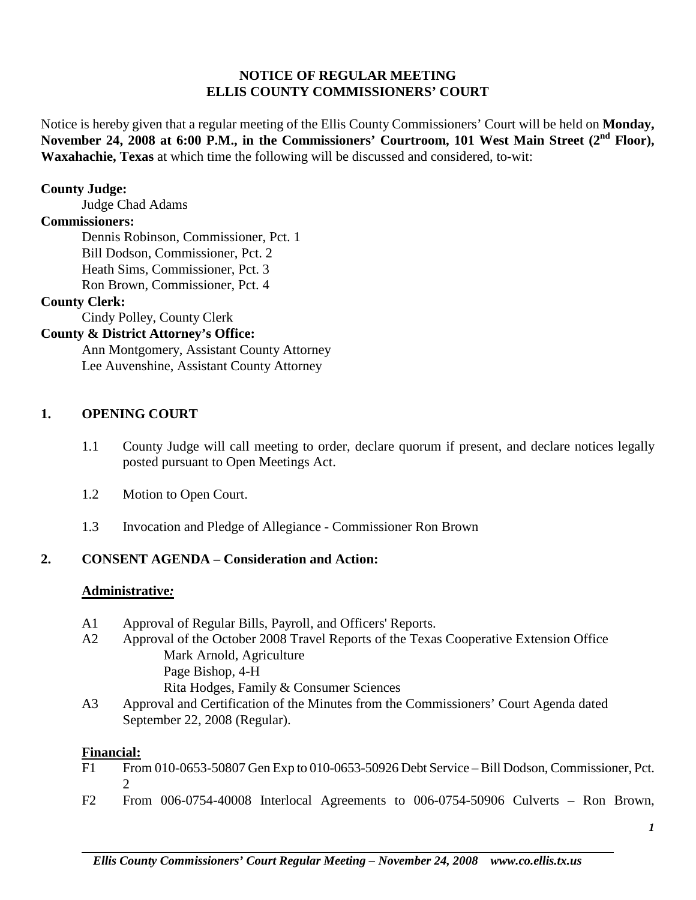## **NOTICE OF REGULAR MEETING ELLIS COUNTY COMMISSIONERS' COURT**

Notice is hereby given that a regular meeting of the Ellis County Commissioners' Court will be held on **Monday,**  November 24, 2008 at 6:00 P.M., in the Commissioners' Courtroom, 101 West Main Street (2<sup>nd</sup> Floor), **Waxahachie, Texas** at which time the following will be discussed and considered, to-wit:

### **County Judge:**

Judge Chad Adams

#### **Commissioners:**

Dennis Robinson, Commissioner, Pct. 1 Bill Dodson, Commissioner, Pct. 2 Heath Sims, Commissioner, Pct. 3 Ron Brown, Commissioner, Pct. 4

## **County Clerk:**

Cindy Polley, County Clerk

## **County & District Attorney's Office:**

Ann Montgomery, Assistant County Attorney Lee Auvenshine, Assistant County Attorney

## **1. OPENING COURT**

- 1.1 County Judge will call meeting to order, declare quorum if present, and declare notices legally posted pursuant to Open Meetings Act.
- 1.2 Motion to Open Court.
- 1.3 Invocation and Pledge of Allegiance Commissioner Ron Brown

## **2. CONSENT AGENDA – Consideration and Action:**

#### **Administrative***:*

- A1 Approval of Regular Bills, Payroll, and Officers' Reports.
- A2 Approval of the October 2008 Travel Reports of the Texas Cooperative Extension Office Mark Arnold, Agriculture Page Bishop, 4-H Rita Hodges, Family & Consumer Sciences
- A3 Approval and Certification of the Minutes from the Commissioners' Court Agenda dated September 22, 2008 (Regular).

#### **Financial:**

- F1 From 010-0653-50807 Gen Exp to 010-0653-50926 Debt Service Bill Dodson, Commissioner, Pct. 2
- F2 From 006-0754-40008 Interlocal Agreements to 006-0754-50906 Culverts Ron Brown,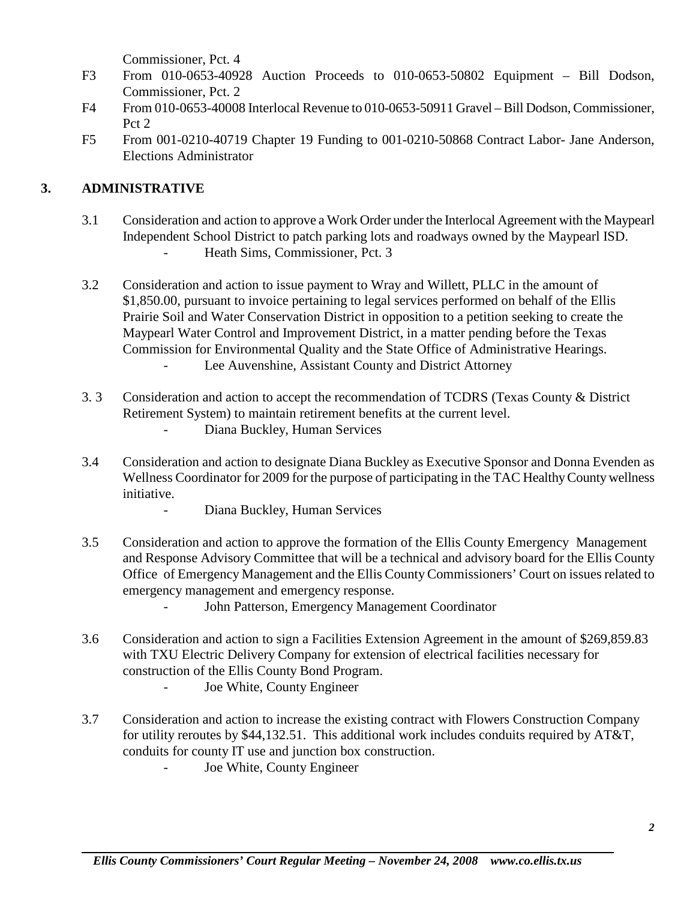Commissioner, Pct. 4

- F3 From 010-0653-40928 Auction Proceeds to 010-0653-50802 Equipment Bill Dodson, Commissioner, Pct. 2
- F4 From 010-0653-40008 Interlocal Revenue to 010-0653-50911 Gravel Bill Dodson, Commissioner, Pct 2
- F5 From 001-0210-40719 Chapter 19 Funding to 001-0210-50868 Contract Labor- Jane Anderson, Elections Administrator

# **3. ADMINISTRATIVE**

- 3.1 Consideration and action to approve a Work Order under the Interlocal Agreement with the Maypearl Independent School District to patch parking lots and roadways owned by the Maypearl ISD. Heath Sims, Commissioner, Pct. 3
- 3.2 Consideration and action to issue payment to Wray and Willett, PLLC in the amount of \$1,850.00, pursuant to invoice pertaining to legal services performed on behalf of the Ellis Prairie Soil and Water Conservation District in opposition to a petition seeking to create the Maypearl Water Control and Improvement District, in a matter pending before the Texas Commission for Environmental Quality and the State Office of Administrative Hearings. - Lee Auvenshine, Assistant County and District Attorney
- 3. 3 Consideration and action to accept the recommendation of TCDRS (Texas County & District Retirement System) to maintain retirement benefits at the current level. Diana Buckley, Human Services
- 3.4 Consideration and action to designate Diana Buckley as Executive Sponsor and Donna Evenden as Wellness Coordinator for 2009 for the purpose of participating in the TAC Healthy County wellness initiative.
	- Diana Buckley, Human Services
- 3.5 Consideration and action to approve the formation of the Ellis County Emergency Management and Response Advisory Committee that will be a technical and advisory board for the Ellis County Office of Emergency Management and the Ellis County Commissioners' Court on issues related to emergency management and emergency response.
	- John Patterson, Emergency Management Coordinator
- 3.6 Consideration and action to sign a Facilities Extension Agreement in the amount of \$269,859.83 with TXU Electric Delivery Company for extension of electrical facilities necessary for construction of the Ellis County Bond Program.
	- Joe White, County Engineer
- 3.7 Consideration and action to increase the existing contract with Flowers Construction Company for utility reroutes by \$44,132.51. This additional work includes conduits required by AT&T, conduits for county IT use and junction box construction.
	- Joe White, County Engineer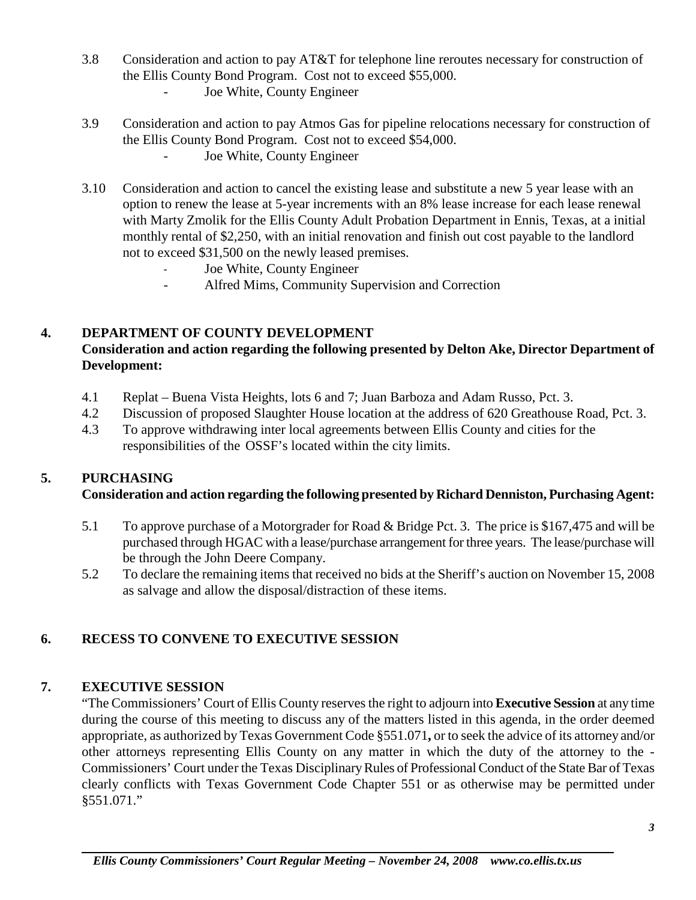- 3.8 Consideration and action to pay AT&T for telephone line reroutes necessary for construction of the Ellis County Bond Program. Cost not to exceed \$55,000.
	- Joe White, County Engineer
- 3.9 Consideration and action to pay Atmos Gas for pipeline relocations necessary for construction of the Ellis County Bond Program. Cost not to exceed \$54,000.
	- Joe White, County Engineer
- 3.10 Consideration and action to cancel the existing lease and substitute a new 5 year lease with an option to renew the lease at 5-year increments with an 8% lease increase for each lease renewal with Marty Zmolik for the Ellis County Adult Probation Department in Ennis, Texas, at a initial monthly rental of \$2,250, with an initial renovation and finish out cost payable to the landlord not to exceed \$31,500 on the newly leased premises.
	- Joe White, County Engineer
	- Alfred Mims, Community Supervision and Correction

# **4. DEPARTMENT OF COUNTY DEVELOPMENT**

# **Consideration and action regarding the following presented by Delton Ake, Director Department of Development:**

- 4.1 Replat Buena Vista Heights, lots 6 and 7; Juan Barboza and Adam Russo, Pct. 3.
- 4.2 Discussion of proposed Slaughter House location at the address of 620 Greathouse Road, Pct. 3.
- 4.3 To approve withdrawing inter local agreements between Ellis County and cities for the responsibilities of the OSSF's located within the city limits.

## **5. PURCHASING**

## **Consideration and action regarding the following presented by Richard Denniston, Purchasing Agent:**

- 5.1 To approve purchase of a Motorgrader for Road & Bridge Pct. 3. The price is \$167,475 and will be purchased through HGAC with a lease/purchase arrangement for three years. The lease/purchase will be through the John Deere Company.
- 5.2 To declare the remaining items that received no bids at the Sheriff's auction on November 15, 2008 as salvage and allow the disposal/distraction of these items.

# **6. RECESS TO CONVENE TO EXECUTIVE SESSION**

## **7. EXECUTIVE SESSION**

"The Commissioners' Court of Ellis County reserves the right to adjourn into **Executive Session** at any time during the course of this meeting to discuss any of the matters listed in this agenda, in the order deemed appropriate, as authorized by Texas Government Code §551.071**,** or to seek the advice of its attorney and/or other attorneys representing Ellis County on any matter in which the duty of the attorney to the - Commissioners' Court under the Texas Disciplinary Rules of Professional Conduct of the State Bar of Texas clearly conflicts with Texas Government Code Chapter 551 or as otherwise may be permitted under §551.071."